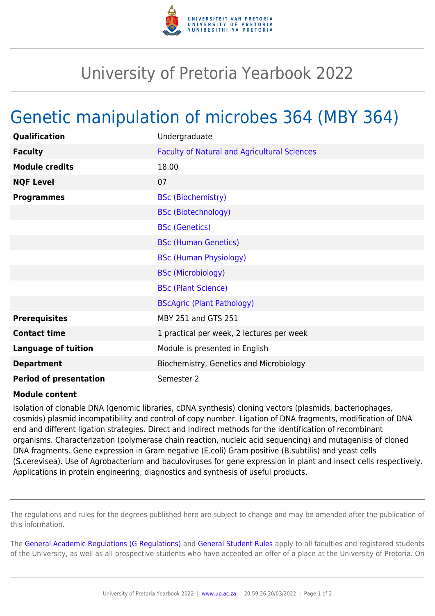

## University of Pretoria Yearbook 2022

## Genetic manipulation of microbes 364 (MBY 364)

| Qualification                 | Undergraduate                                       |
|-------------------------------|-----------------------------------------------------|
| <b>Faculty</b>                | <b>Faculty of Natural and Agricultural Sciences</b> |
| <b>Module credits</b>         | 18.00                                               |
| <b>NQF Level</b>              | 07                                                  |
| <b>Programmes</b>             | <b>BSc (Biochemistry)</b>                           |
|                               | <b>BSc (Biotechnology)</b>                          |
|                               | <b>BSc (Genetics)</b>                               |
|                               | <b>BSc (Human Genetics)</b>                         |
|                               | <b>BSc (Human Physiology)</b>                       |
|                               | <b>BSc (Microbiology)</b>                           |
|                               | <b>BSc (Plant Science)</b>                          |
|                               | <b>BScAgric (Plant Pathology)</b>                   |
| <b>Prerequisites</b>          | MBY 251 and GTS 251                                 |
| <b>Contact time</b>           | 1 practical per week, 2 lectures per week           |
| <b>Language of tuition</b>    | Module is presented in English                      |
| <b>Department</b>             | Biochemistry, Genetics and Microbiology             |
| <b>Period of presentation</b> | Semester 2                                          |

## **Module content**

Isolation of clonable DNA (genomic libraries, cDNA synthesis) cloning vectors (plasmids, bacteriophages, cosmids) plasmid incompatibility and control of copy number. Ligation of DNA fragments, modification of DNA end and different ligation strategies. Direct and indirect methods for the identification of recombinant organisms. Characterization (polymerase chain reaction, nucleic acid sequencing) and mutagenisis of cloned DNA fragments. Gene expression in Gram negative (E.coli) Gram positive (B.subtilis) and yeast cells (S.cerevisea). Use of Agrobacterium and baculoviruses for gene expression in plant and insect cells respectively. Applications in protein engineering, diagnostics and synthesis of useful products.

The regulations and rules for the degrees published here are subject to change and may be amended after the publication of this information.

The [General Academic Regulations \(G Regulations\)](https://www.up.ac.za/yearbooks/2022/rules/view/REG) and [General Student Rules](https://www.up.ac.za/yearbooks/2022/rules/view/RUL) apply to all faculties and registered students of the University, as well as all prospective students who have accepted an offer of a place at the University of Pretoria. On